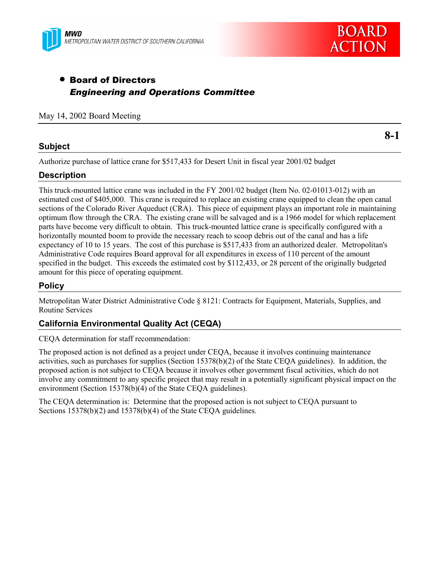



# • Board of Directors *Engineering and Operations Committee*

May 14, 2002 Board Meeting

#### **Subject**

**8-1**

Authorize purchase of lattice crane for \$517,433 for Desert Unit in fiscal year 2001/02 budget

### **Description**

This truck-mounted lattice crane was included in the FY 2001/02 budget (Item No. 02-01013-012) with an estimated cost of \$405,000. This crane is required to replace an existing crane equipped to clean the open canal sections of the Colorado River Aqueduct (CRA). This piece of equipment plays an important role in maintaining optimum flow through the CRA. The existing crane will be salvaged and is a 1966 model for which replacement parts have become very difficult to obtain. This truck-mounted lattice crane is specifically configured with a horizontally mounted boom to provide the necessary reach to scoop debris out of the canal and has a life expectancy of 10 to 15 years. The cost of this purchase is \$517,433 from an authorized dealer. Metropolitan's Administrative Code requires Board approval for all expenditures in excess of 110 percent of the amount specified in the budget. This exceeds the estimated cost by \$112,433, or 28 percent of the originally budgeted amount for this piece of operating equipment.

### **Policy**

Metropolitan Water District Administrative Code § 8121: Contracts for Equipment, Materials, Supplies, and Routine Services

### **California Environmental Quality Act (CEQA)**

CEQA determination for staff recommendation:

The proposed action is not defined as a project under CEQA, because it involves continuing maintenance activities, such as purchases for supplies (Section 15378(b)(2) of the State CEQA guidelines). In addition, the proposed action is not subject to CEQA because it involves other government fiscal activities, which do not involve any commitment to any specific project that may result in a potentially significant physical impact on the environment (Section 15378(b)(4) of the State CEQA guidelines).

The CEQA determination is: Determine that the proposed action is not subject to CEQA pursuant to Sections 15378(b)(2) and 15378(b)(4) of the State CEQA guidelines.